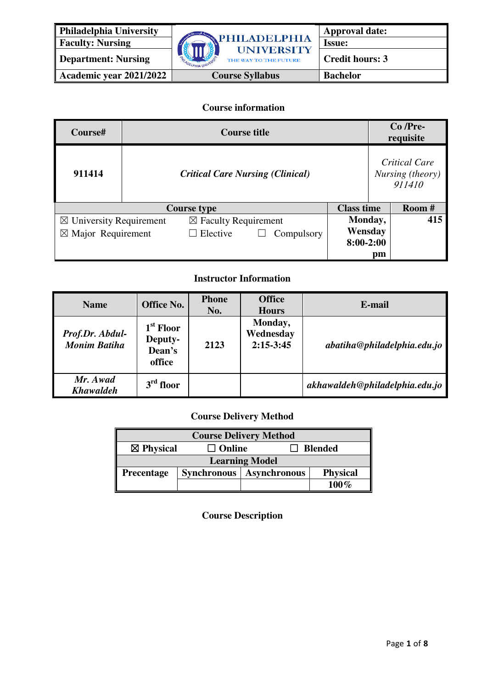

**Academic year 2021/2022 Course Syllabus Bachelor** 

## **Course information**

| Course#                            |  | <b>Course title</b>                     |            |                   |                                                    | $Co$ /Pre-<br>requisite |
|------------------------------------|--|-----------------------------------------|------------|-------------------|----------------------------------------------------|-------------------------|
| 911414                             |  | <b>Critical Care Nursing (Clinical)</b> |            |                   | <b>Critical Care</b><br>Nursing (theory)<br>911410 |                         |
|                                    |  | <b>Course type</b>                      |            | <b>Class time</b> |                                                    | Room #                  |
| $\boxtimes$ University Requirement |  | $\boxtimes$ Faculty Requirement         |            | Monday,           |                                                    | 415                     |
| $\boxtimes$ Major Requirement      |  | Elective                                | Compulsory | Wensday           |                                                    |                         |
|                                    |  |                                         |            | $8:00-2:00$       |                                                    |                         |
|                                    |  |                                         |            |                   | pm                                                 |                         |

## **Instructor Information**

| <b>Name</b>                            | <b>Office No.</b>                                    | <b>Phone</b><br>No. | <b>Office</b><br><b>Hours</b>       | E-mail                         |
|----------------------------------------|------------------------------------------------------|---------------------|-------------------------------------|--------------------------------|
| Prof.Dr. Abdul-<br><b>Monim Batiha</b> | 1 <sup>st</sup> Floor<br>Deputy-<br>Dean's<br>office | 2123                | Monday,<br>Wednesday<br>$2:15-3:45$ | abatiha@philadelpha.edu.io     |
| Mr. Awad<br><b>Khawaldeh</b>           | $3rd$ floor                                          |                     |                                     | akhawaldeh@philadelphia.edu.jo |

## **Course Delivery Method**

| <b>Course Delivery Method</b>                           |  |                                   |                 |  |
|---------------------------------------------------------|--|-----------------------------------|-----------------|--|
| $\boxtimes$ Physical<br>$\Box$ Online<br><b>Blended</b> |  |                                   |                 |  |
| <b>Learning Model</b>                                   |  |                                   |                 |  |
| <b>Precentage</b>                                       |  | <b>Synchronous</b>   Asynchronous | <b>Physical</b> |  |
|                                                         |  |                                   | 100 $\%$        |  |

**Course Description**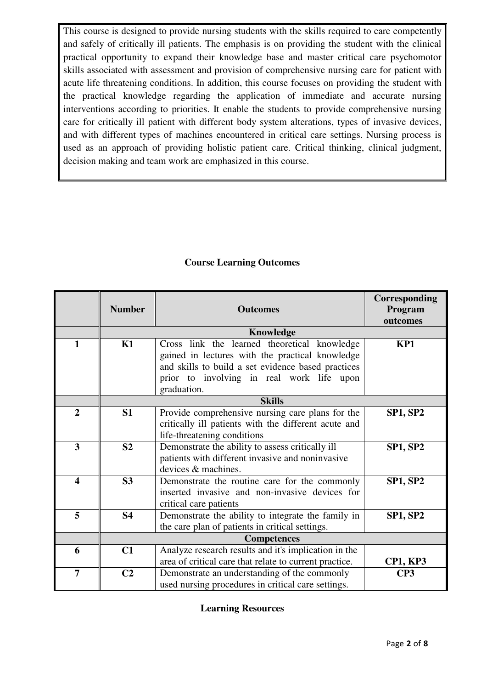This course is designed to provide nursing students with the skills required to care competently and safely of critically ill patients. The emphasis is on providing the student with the clinical practical opportunity to expand their knowledge base and master critical care psychomotor skills associated with assessment and provision of comprehensive nursing care for patient with acute life threatening conditions. In addition, this course focuses on providing the student with the practical knowledge regarding the application of immediate and accurate nursing interventions according to priorities. It enable the students to provide comprehensive nursing care for critically ill patient with different body system alterations, types of invasive devices, and with different types of machines encountered in critical care settings. Nursing process is used as an approach of providing holistic patient care. Critical thinking, clinical judgment, decision making and team work are emphasized in this course.

## **Course Learning Outcomes**

|                         | <b>Number</b>  | <b>Outcomes</b>                                                                                                                                                                                                   | Corresponding<br>Program<br>outcomes |
|-------------------------|----------------|-------------------------------------------------------------------------------------------------------------------------------------------------------------------------------------------------------------------|--------------------------------------|
|                         |                | Knowledge                                                                                                                                                                                                         |                                      |
| 1                       | K1             | Cross link the learned theoretical knowledge<br>gained in lectures with the practical knowledge<br>and skills to build a set evidence based practices<br>prior to involving in real work life upon<br>graduation. | KP1                                  |
|                         |                | <b>Skills</b>                                                                                                                                                                                                     |                                      |
| $\overline{2}$          | S1             | Provide comprehensive nursing care plans for the<br>critically ill patients with the different acute and<br>life-threatening conditions                                                                           | <b>SP1, SP2</b>                      |
| $\overline{\mathbf{3}}$ | S <sub>2</sub> | Demonstrate the ability to assess critically ill<br>patients with different invasive and noninvasive<br>devices & machines.                                                                                       | <b>SP1, SP2</b>                      |
| $\overline{\mathbf{4}}$ | S3             | Demonstrate the routine care for the commonly<br>inserted invasive and non-invasive devices for<br>critical care patients                                                                                         | <b>SP1, SP2</b>                      |
| 5                       | <b>S4</b>      | Demonstrate the ability to integrate the family in<br>the care plan of patients in critical settings.                                                                                                             | <b>SP1, SP2</b>                      |
|                         |                |                                                                                                                                                                                                                   |                                      |
| 6                       | C1             | Analyze research results and it's implication in the<br>area of critical care that relate to current practice.                                                                                                    | <b>CP1, KP3</b>                      |
| $\overline{7}$          | C <sub>2</sub> | Demonstrate an understanding of the commonly<br>used nursing procedures in critical care settings.                                                                                                                | CP <sub>3</sub>                      |

## **Learning Resources**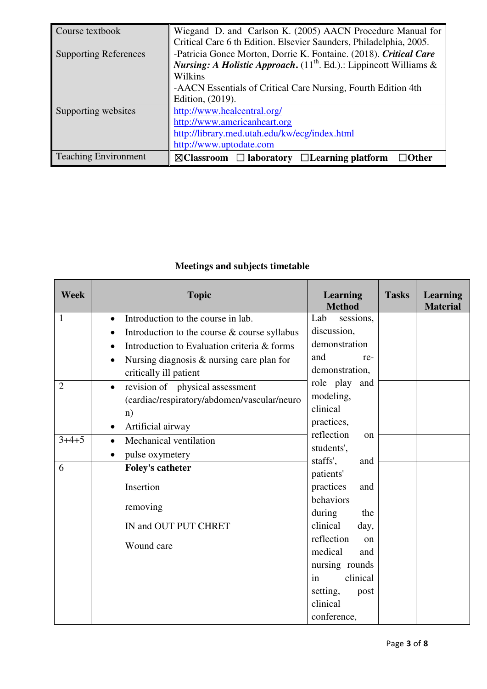| Course textbook              | Wiegand D. and Carlson K. (2005) AACN Procedure Manual for                     |  |  |  |
|------------------------------|--------------------------------------------------------------------------------|--|--|--|
|                              | Critical Care 6 th Edition. Elsevier Saunders, Philadelphia, 2005.             |  |  |  |
| <b>Supporting References</b> | -Patricia Gonce Morton, Dorrie K. Fontaine. (2018). Critical Care              |  |  |  |
|                              | <i>Nursing: A Holistic Approach.</i> $(11^{th}$ . Ed.).: Lippincott Williams & |  |  |  |
|                              | Wilkins                                                                        |  |  |  |
|                              | -AACN Essentials of Critical Care Nursing, Fourth Edition 4th                  |  |  |  |
|                              | Edition, (2019).                                                               |  |  |  |
| Supporting websites          | http://www.healcentral.org/                                                    |  |  |  |
|                              | http://www.americanheart.org                                                   |  |  |  |
|                              | http://library.med.utah.edu/kw/ecg/index.html                                  |  |  |  |
|                              | http://www.uptodate.com                                                        |  |  |  |
| <b>Teaching Environment</b>  | $\boxtimes$ Classroom $\Box$ laboratory $\Box$ Learning platform<br>⊐Other     |  |  |  |

# **Meetings and subjects timetable**

| <b>Week</b>    | <b>Topic</b>                                    | <b>Learning</b><br><b>Method</b>   | <b>Tasks</b> | <b>Learning</b><br><b>Material</b> |
|----------------|-------------------------------------------------|------------------------------------|--------------|------------------------------------|
| $\mathbf{1}$   | Introduction to the course in lab.<br>$\bullet$ | Lab<br>sessions,                   |              |                                    |
|                | Introduction to the course & course syllabus    | discussion,                        |              |                                    |
|                | Introduction to Evaluation criteria & forms     | demonstration                      |              |                                    |
|                | Nursing diagnosis $\&$ nursing care plan for    | and<br>re-                         |              |                                    |
|                | critically ill patient                          | demonstration,                     |              |                                    |
| $\overline{2}$ | revision of physical assessment<br>$\bullet$    | role play<br>and                   |              |                                    |
|                | (cardiac/respiratory/abdomen/vascular/neuro     | modeling,                          |              |                                    |
|                | n)                                              | clinical                           |              |                                    |
|                | Artificial airway<br>$\bullet$                  | practices,                         |              |                                    |
| $3+4+5$        | Mechanical ventilation<br>$\bullet$             | reflection<br>on                   |              |                                    |
|                | pulse oxymetery<br>$\bullet$                    | students',<br>staffs',<br>and      |              |                                    |
| 6              | <b>Foley's catheter</b>                         | patients'                          |              |                                    |
|                | Insertion                                       | practices<br>and<br>behaviors      |              |                                    |
|                | removing                                        | during<br>the                      |              |                                    |
|                | IN and OUT PUT CHRET                            | clinical<br>day,                   |              |                                    |
|                | Wound care                                      | reflection<br>on<br>medical<br>and |              |                                    |
|                |                                                 | nursing rounds                     |              |                                    |
|                |                                                 | clinical<br>in                     |              |                                    |
|                |                                                 | setting,<br>post                   |              |                                    |
|                |                                                 | clinical                           |              |                                    |
|                |                                                 | conference,                        |              |                                    |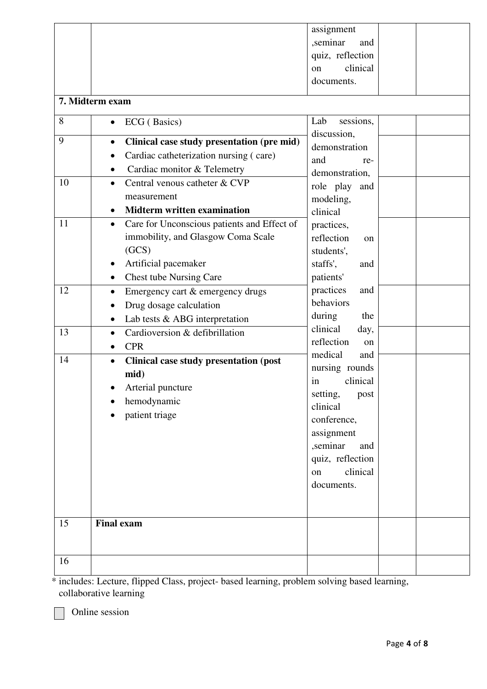|    |                                                            | assignment                      |  |
|----|------------------------------------------------------------|---------------------------------|--|
|    |                                                            | ,seminar<br>and                 |  |
|    |                                                            | quiz, reflection                |  |
|    |                                                            | clinical<br>on                  |  |
|    |                                                            | documents.                      |  |
|    |                                                            |                                 |  |
|    | 7. Midterm exam                                            |                                 |  |
| 8  | ECG (Basics)<br>$\bullet$                                  | sessions,<br>Lab<br>discussion, |  |
| 9  | Clinical case study presentation (pre mid)<br>$\bullet$    | demonstration                   |  |
|    | Cardiac catheterization nursing (care)                     | and                             |  |
|    | Cardiac monitor & Telemetry                                | re-                             |  |
| 10 | Central venous catheter & CVP<br>$\bullet$                 | demonstration,                  |  |
|    | measurement                                                | role play<br>and                |  |
|    | <b>Midterm written examination</b><br>$\bullet$            | modeling,<br>clinical           |  |
| 11 | Care for Unconscious patients and Effect of<br>$\bullet$   |                                 |  |
|    | immobility, and Glasgow Coma Scale                         | practices,<br>reflection        |  |
|    | (GCS)                                                      | on                              |  |
|    |                                                            | students',                      |  |
|    | Artificial pacemaker<br>$\bullet$                          | staffs',<br>and                 |  |
|    | <b>Chest tube Nursing Care</b><br>$\bullet$                | patients'                       |  |
| 12 | Emergency cart & emergency drugs<br>$\bullet$              | practices<br>and<br>behaviors   |  |
|    | Drug dosage calculation<br>$\bullet$                       | during<br>the                   |  |
|    | Lab tests & ABG interpretation<br>$\bullet$                | clinical<br>day,                |  |
| 13 | Cardioversion & defibrillation<br>$\bullet$                | reflection<br>on                |  |
|    | <b>CPR</b><br>$\bullet$                                    | medical<br>and                  |  |
| 14 | <b>Clinical case study presentation (post</b><br>$\bullet$ | nursing rounds                  |  |
|    | mid)                                                       | clinical<br>in                  |  |
|    | Arterial puncture                                          | setting,<br>post                |  |
|    | hemodynamic                                                | clinical                        |  |
|    | patient triage                                             | conference,                     |  |
|    |                                                            | assignment                      |  |
|    |                                                            | ,seminar<br>and                 |  |
|    |                                                            | quiz, reflection                |  |
|    |                                                            | clinical<br>on                  |  |
|    |                                                            | documents.                      |  |
|    |                                                            |                                 |  |
|    |                                                            |                                 |  |
| 15 | <b>Final exam</b>                                          |                                 |  |
|    |                                                            |                                 |  |
|    |                                                            |                                 |  |
| 16 |                                                            |                                 |  |

\* includes: Lecture, flipped Class, project- based learning, problem solving based learning, collaborative learning

Online session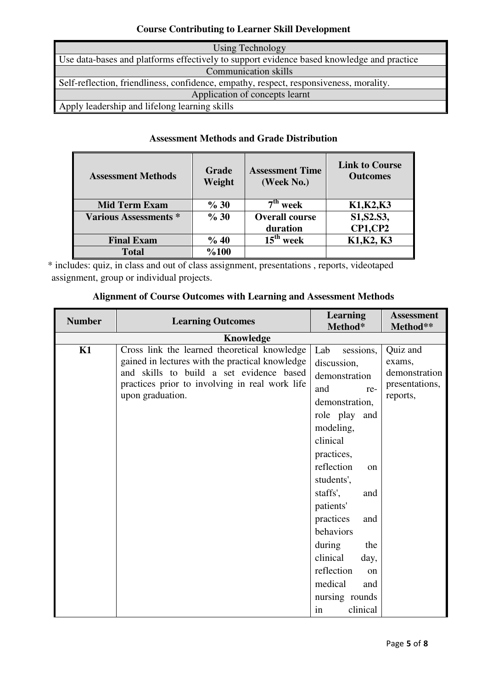# **Course Contributing to Learner Skill Development**

| Using Technology                                                                          |
|-------------------------------------------------------------------------------------------|
| Use data-bases and platforms effectively to support evidence based knowledge and practice |
| <b>Communication skills</b>                                                               |
| Self-reflection, friendliness, confidence, empathy, respect, responsiveness, morality.    |
| Application of concepts learnt                                                            |
| Apply leadership and lifelong learning skills                                             |

## **Assessment Methods and Grade Distribution**

| <b>Assessment Methods</b>    | Grade<br>Weight | <b>Assessment Time</b><br>(Week No.) | <b>Link to Course</b><br><b>Outcomes</b> |
|------------------------------|-----------------|--------------------------------------|------------------------------------------|
| <b>Mid Term Exam</b>         | % 30            | $7th$ week                           | K1, K2, K3                               |
| <b>Various Assessments *</b> | % 30            | <b>Overall course</b>                | S1, S2. S3,                              |
|                              |                 | duration                             | <b>CP1, CP2</b>                          |
| <b>Final Exam</b>            | % 40            | $15th$ week                          | K1, K2, K3                               |
| <b>Total</b>                 | %100            |                                      |                                          |

\* includes: quiz, in class and out of class assignment, presentations , reports, videotaped assignment, group or individual projects.

| <b>Number</b> | <b>Learning Outcomes</b>                        | <b>Learning</b><br>Method* | <b>Assessment</b><br>Method** |
|---------------|-------------------------------------------------|----------------------------|-------------------------------|
|               |                                                 |                            |                               |
| K1            | Cross link the learned theoretical knowledge    | Lab<br>sessions,           | Quiz and                      |
|               | gained in lectures with the practical knowledge | discussion,                | exams,                        |
|               | and skills to build a set evidence based        | demonstration              | demonstration                 |
|               | practices prior to involving in real work life  | and<br>re-                 | presentations,                |
|               | upon graduation.                                | demonstration,             | reports,                      |
|               |                                                 | role play and              |                               |
|               |                                                 | modeling,                  |                               |
|               |                                                 | clinical                   |                               |
|               |                                                 | practices,                 |                               |
|               |                                                 | reflection<br>on           |                               |
|               |                                                 | students',                 |                               |
|               |                                                 | staffs',<br>and            |                               |
|               |                                                 | patients'                  |                               |
|               |                                                 | practices<br>and           |                               |
|               |                                                 | behaviors                  |                               |
|               |                                                 | during<br>the              |                               |
|               |                                                 | clinical<br>day,           |                               |
|               |                                                 | reflection<br>on           |                               |
|               |                                                 | medical<br>and             |                               |
|               |                                                 | nursing rounds             |                               |
|               |                                                 | in<br>clinical             |                               |

| <b>Alignment of Course Outcomes with Learning and Assessment Methods</b> |
|--------------------------------------------------------------------------|
|--------------------------------------------------------------------------|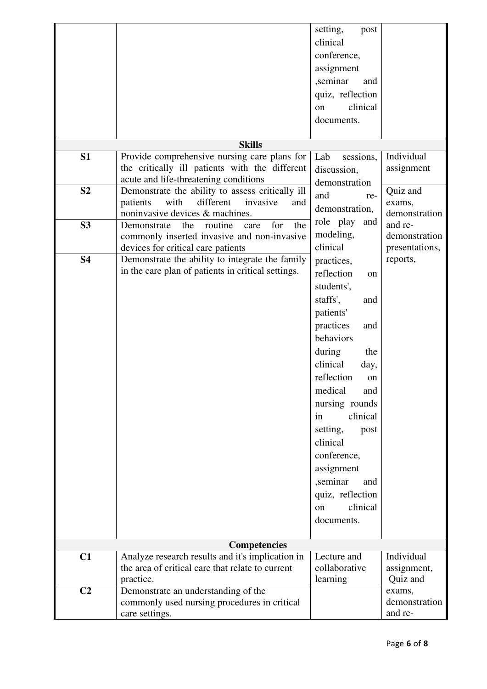|                |                                                                                     | setting,<br>post |                          |
|----------------|-------------------------------------------------------------------------------------|------------------|--------------------------|
|                |                                                                                     | clinical         |                          |
|                |                                                                                     | conference,      |                          |
|                |                                                                                     | assignment       |                          |
|                |                                                                                     | ,seminar<br>and  |                          |
|                |                                                                                     | quiz, reflection |                          |
|                |                                                                                     | clinical<br>on   |                          |
|                |                                                                                     | documents.       |                          |
|                |                                                                                     |                  |                          |
|                | <b>Skills</b>                                                                       |                  |                          |
| S <sub>1</sub> | Provide comprehensive nursing care plans for                                        | sessions,<br>Lab | Individual               |
|                | the critically ill patients with the different                                      | discussion,      | assignment               |
|                | acute and life-threatening conditions                                               | demonstration    |                          |
| S <sub>2</sub> | Demonstrate the ability to assess critically ill                                    | and<br>re-       | Quiz and                 |
|                | with<br>different<br>patients<br>invasive<br>and<br>noninvasive devices & machines. | demonstration,   | exams,                   |
| S <sub>3</sub> | for<br>the<br>the<br>routine<br>Demonstrate<br>care                                 | role play<br>and | demonstration<br>and re- |
|                | commonly inserted invasive and non-invasive                                         | modeling,        | demonstration            |
|                | devices for critical care patients                                                  | clinical         | presentations,           |
| <b>S4</b>      | Demonstrate the ability to integrate the family                                     | practices,       | reports,                 |
|                | in the care plan of patients in critical settings.                                  | reflection<br>on |                          |
|                |                                                                                     | students',       |                          |
|                |                                                                                     | staffs',<br>and  |                          |
|                |                                                                                     | patients'        |                          |
|                |                                                                                     |                  |                          |
|                |                                                                                     | practices<br>and |                          |
|                |                                                                                     | behaviors        |                          |
|                |                                                                                     | during<br>the    |                          |
|                |                                                                                     | clinical<br>day, |                          |
|                |                                                                                     | reflection<br>on |                          |
|                |                                                                                     | medical<br>and   |                          |
|                |                                                                                     | nursing rounds   |                          |
|                |                                                                                     | clinical<br>in   |                          |
|                |                                                                                     | setting,<br>post |                          |
|                |                                                                                     | clinical         |                          |
|                |                                                                                     | conference,      |                          |
|                |                                                                                     | assignment       |                          |
|                |                                                                                     | ,seminar<br>and  |                          |
|                |                                                                                     | quiz, reflection |                          |
|                |                                                                                     | clinical<br>on   |                          |
|                |                                                                                     | documents.       |                          |
|                |                                                                                     |                  |                          |
|                | <b>Competencies</b>                                                                 |                  |                          |
| C1             | Analyze research results and it's implication in                                    | Lecture and      | Individual               |
|                | the area of critical care that relate to current                                    | collaborative    | assignment,              |
|                | practice.                                                                           | learning         | Quiz and                 |
| C <sub>2</sub> | Demonstrate an understanding of the                                                 |                  | exams,                   |
|                | commonly used nursing procedures in critical                                        |                  | demonstration            |
|                | care settings.                                                                      |                  | and re-                  |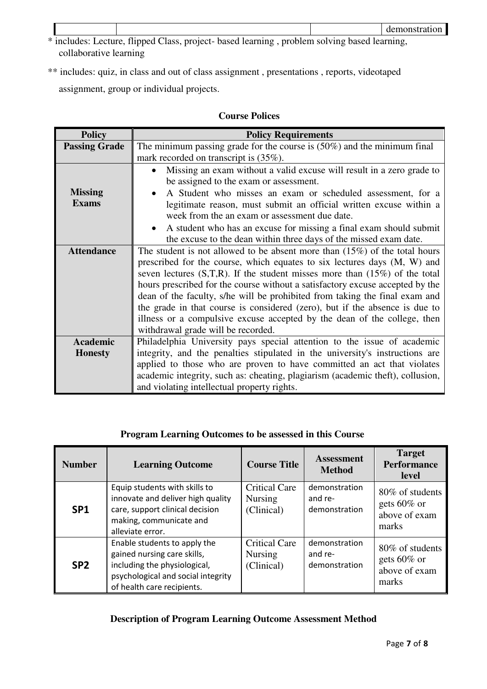- \* includes: Lecture, flipped Class, project- based learning , problem solving based learning, collaborative learning
- \*\* includes: quiz, in class and out of class assignment , presentations , reports, videotaped assignment, group or individual projects.

## **Course Polices**

| <b>Policy</b>        | <b>Policy Requirements</b>                                                       |  |  |  |
|----------------------|----------------------------------------------------------------------------------|--|--|--|
| <b>Passing Grade</b> | The minimum passing grade for the course is $(50\%)$ and the minimum final       |  |  |  |
|                      | mark recorded on transcript is $(35\%)$ .                                        |  |  |  |
|                      | Missing an exam without a valid excuse will result in a zero grade to            |  |  |  |
|                      | be assigned to the exam or assessment.                                           |  |  |  |
| <b>Missing</b>       | A Student who misses an exam or scheduled assessment, for a                      |  |  |  |
| <b>Exams</b>         | legitimate reason, must submit an official written excuse within a               |  |  |  |
|                      | week from the an exam or assessment due date.                                    |  |  |  |
|                      | A student who has an excuse for missing a final exam should submit               |  |  |  |
|                      | the excuse to the dean within three days of the missed exam date.                |  |  |  |
| <b>Attendance</b>    | The student is not allowed to be absent more than $(15\%)$ of the total hours    |  |  |  |
|                      | prescribed for the course, which equates to six lectures days (M, W) and         |  |  |  |
|                      | seven lectures $(S,T,R)$ . If the student misses more than $(15\%)$ of the total |  |  |  |
|                      | hours prescribed for the course without a satisfactory excuse accepted by the    |  |  |  |
|                      | dean of the faculty, s/he will be prohibited from taking the final exam and      |  |  |  |
|                      | the grade in that course is considered (zero), but if the absence is due to      |  |  |  |
|                      | illness or a compulsive excuse accepted by the dean of the college, then         |  |  |  |
|                      | withdrawal grade will be recorded.                                               |  |  |  |
| <b>Academic</b>      | Philadelphia University pays special attention to the issue of academic          |  |  |  |
| <b>Honesty</b>       | integrity, and the penalties stipulated in the university's instructions are     |  |  |  |
|                      | applied to those who are proven to have committed an act that violates           |  |  |  |
|                      | academic integrity, such as: cheating, plagiarism (academic theft), collusion,   |  |  |  |
|                      | and violating intellectual property rights.                                      |  |  |  |

## **Program Learning Outcomes to be assessed in this Course**

| <b>Number</b>   | <b>Learning Outcome</b>                                                                                                                                         | <b>Course Title</b>                                  | <b>Assessment</b><br><b>Method</b>        | <b>Target</b><br><b>Performance</b><br>level                 |
|-----------------|-----------------------------------------------------------------------------------------------------------------------------------------------------------------|------------------------------------------------------|-------------------------------------------|--------------------------------------------------------------|
| SP <sub>1</sub> | Equip students with skills to<br>innovate and deliver high quality<br>care, support clinical decision<br>making, communicate and<br>alleviate error.            | <b>Critical Care</b><br><b>Nursing</b><br>(Clinical) | demonstration<br>and re-<br>demonstration | 80\% of students<br>gets $60\%$ or<br>above of exam<br>marks |
| SP <sub>2</sub> | Enable students to apply the<br>gained nursing care skills,<br>including the physiological,<br>psychological and social integrity<br>of health care recipients. | <b>Critical Care</b><br><b>Nursing</b><br>(Clinical) | demonstration<br>and re-<br>demonstration | 80\% of students<br>gets $60\%$ or<br>above of exam<br>marks |

## **Description of Program Learning Outcome Assessment Method**